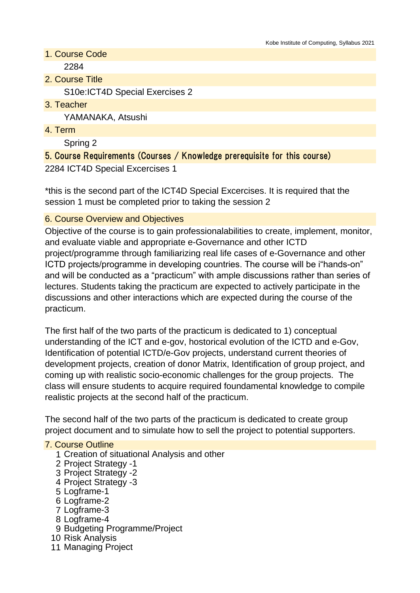- 1. Course Code 2284
- 2. Course Title

S10e:ICT4D Special Exercises 2

3. Teacher

YAMANAKA, Atsushi

4. Term

Spring 2

# 5. Course Requirements (Courses / Knowledge prerequisite for this course) 2284 ICT4D Special Excercises 1

\*this is the second part of the ICT4D Special Excercises. It is required that the session 1 must be completed prior to taking the session 2

### 6. Course Overview and Objectives

Objective of the course is to gain professionalabilities to create, implement, monitor, and evaluate viable and appropriate e-Governance and other ICTD project/programme through familiarizing real life cases of e-Governance and other ICTD projects/programme in developing countries. The course will be i"hands-on" and will be conducted as a "practicum" with ample discussions rather than series of lectures. Students taking the practicum are expected to actively participate in the discussions and other interactions which are expected during the course of the practicum.

The first half of the two parts of the practicum is dedicated to 1) conceptual understanding of the ICT and e-gov, hostorical evolution of the ICTD and e-Gov, Identification of potential ICTD/e-Gov projects, understand current theories of development projects, creation of donor Matrix, Identification of group project, and coming up with realistic socio-economic challenges for the group projects. The class will ensure students to acquire required foundamental knowledge to compile realistic projects at the second half of the practicum.

The second half of the two parts of the practicum is dedicated to create group project document and to simulate how to sell the project to potential supporters.

#### 7. Course Outline

- 1 Creation of situational Analysis and other
- 2 Project Strategy -1
- 3 Project Strategy -2
- 4 Project Strategy -3
- 5 Logframe-1
- 6 Logframe-2
- 7 Logframe-3
- 8 Logframe-4
- 9 Budgeting Programme/Project
- 10 Risk Analysis
- 11 Managing Project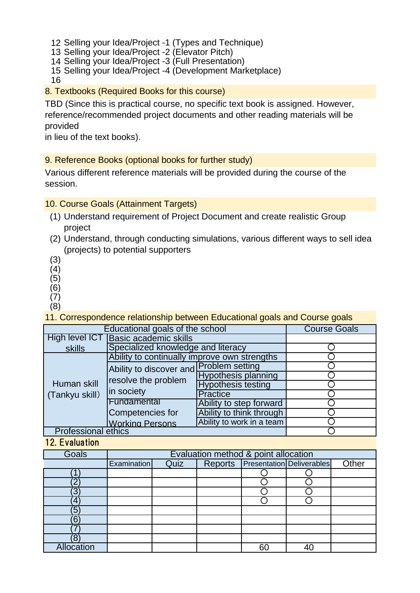12 Selling your Idea/Project -1 (Types and Technique)

- 13 Selling your Idea/Project -2 (Elevator Pitch)
- 14 Selling your Idea/Project -3 (Full Presentation)
- 15 Selling your Idea/Project -4 (Development Marketplace)

16

8. Textbooks (Required Books for this course)

TBD (Since this is practical course, no specific text book is assigned. However, reference/recommended project documents and other reading materials will be provided

in lieu of the text books).

9. Reference Books (optional books for further study)

Various different reference materials will be provided during the course of the session.

10. Course Goals (Attainment Targets)

- (1) Understand requirement of Project Document and create realistic Group project
- (2) Understand, through conducting simulations, various different ways to sell idea (projects) to potential supporters
- (3)
- (4) (5)
- (6)
- (7)
- (8)

11. Correspondence relationship between Educational goals and Course goals

| Educational goals of the school | <b>Course Goals</b>                          |                            |  |
|---------------------------------|----------------------------------------------|----------------------------|--|
| High level ICT                  | Basic academic skills                        |                            |  |
| skills                          | Specialized knowledge and literacy           |                            |  |
| Human skill<br>(Tankyu skill)   | Ability to continually improve own strengths |                            |  |
|                                 | Ability to discover and                      | <b>Problem setting</b>     |  |
|                                 | resolve the problem<br>in society            | <b>Hypothesis planning</b> |  |
|                                 |                                              | <b>Hypothesis testing</b>  |  |
|                                 |                                              | Practice                   |  |
|                                 | Fundamental                                  | Ability to step forward    |  |
|                                 | Competencies for                             | Ability to think through   |  |
|                                 | <b>Working Persons</b>                       | Ability to work in a team  |  |
| <b>Professional ethics</b>      |                                              |                            |  |

12. Evaluation

| <b>Goals</b> | Evaluation method & point allocation |      |  |  |                                          |       |
|--------------|--------------------------------------|------|--|--|------------------------------------------|-------|
|              | Examination                          | Quiz |  |  | <b>Reports Presentation</b> Deliverables | Other |
|              |                                      |      |  |  |                                          |       |
|              |                                      |      |  |  |                                          |       |
| 3            |                                      |      |  |  |                                          |       |
|              |                                      |      |  |  |                                          |       |
| 5            |                                      |      |  |  |                                          |       |
|              |                                      |      |  |  |                                          |       |
|              |                                      |      |  |  |                                          |       |
| 8            |                                      |      |  |  |                                          |       |
| Allocation   |                                      |      |  |  |                                          |       |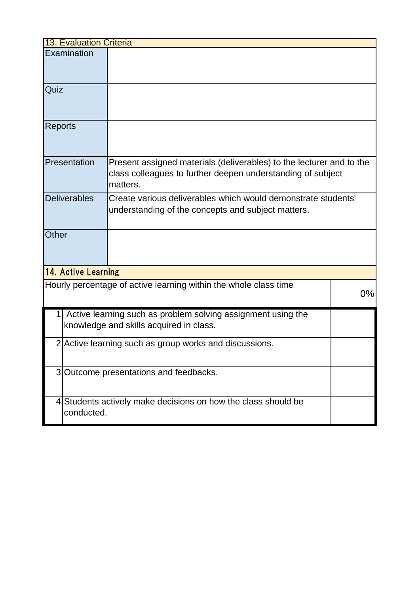| <b>13. Evaluation Criteria</b> |                     |                                                                                                                                                 |       |  |
|--------------------------------|---------------------|-------------------------------------------------------------------------------------------------------------------------------------------------|-------|--|
|                                | Examination         |                                                                                                                                                 |       |  |
| Quiz                           |                     |                                                                                                                                                 |       |  |
| <b>Reports</b>                 |                     |                                                                                                                                                 |       |  |
|                                | Presentation        | Present assigned materials (deliverables) to the lecturer and to the<br>class colleagues to further deepen understanding of subject<br>matters. |       |  |
|                                | <b>Deliverables</b> | Create various deliverables which would demonstrate students'<br>understanding of the concepts and subject matters.                             |       |  |
| Other                          |                     |                                                                                                                                                 |       |  |
|                                | 14. Active Learning |                                                                                                                                                 |       |  |
|                                |                     | Hourly percentage of active learning within the whole class time                                                                                | $0\%$ |  |
|                                |                     | Active learning such as problem solving assignment using the<br>knowledge and skills acquired in class.                                         |       |  |
|                                |                     | 2 Active learning such as group works and discussions.                                                                                          |       |  |
|                                |                     | 3 Outcome presentations and feedbacks.                                                                                                          |       |  |
|                                | conducted.          | 4 Students actively make decisions on how the class should be                                                                                   |       |  |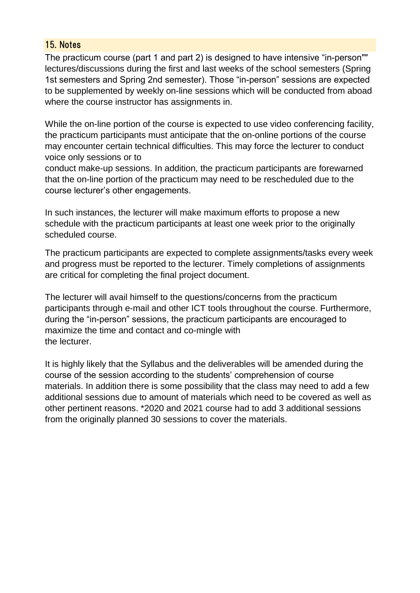#### 15. Notes

The practicum course (part 1 and part 2) is designed to have intensive "in-person"" lectures/discussions during the first and last weeks of the school semesters (Spring 1st semesters and Spring 2nd semester). Those "in-person" sessions are expected to be supplemented by weekly on-line sessions which will be conducted from aboad where the course instructor has assignments in.

While the on-line portion of the course is expected to use video conferencing facility, the practicum participants must anticipate that the on-online portions of the course may encounter certain technical difficulties. This may force the lecturer to conduct voice only sessions or to

conduct make-up sessions. In addition, the practicum participants are forewarned that the on-line portion of the practicum may need to be rescheduled due to the course lecturer's other engagements.

In such instances, the lecturer will make maximum efforts to propose a new schedule with the practicum participants at least one week prior to the originally scheduled course.

The practicum participants are expected to complete assignments/tasks every week and progress must be reported to the lecturer. Timely completions of assignments are critical for completing the final project document.

The lecturer will avail himself to the questions/concerns from the practicum participants through e-mail and other ICT tools throughout the course. Furthermore, during the "in-person" sessions, the practicum participants are encouraged to maximize the time and contact and co-mingle with the lecturer.

It is highly likely that the Syllabus and the deliverables will be amended during the course of the session according to the students' comprehension of course materials. In addition there is some possibility that the class may need to add a few additional sessions due to amount of materials which need to be covered as well as other pertinent reasons. \*2020 and 2021 course had to add 3 additional sessions from the originally planned 30 sessions to cover the materials.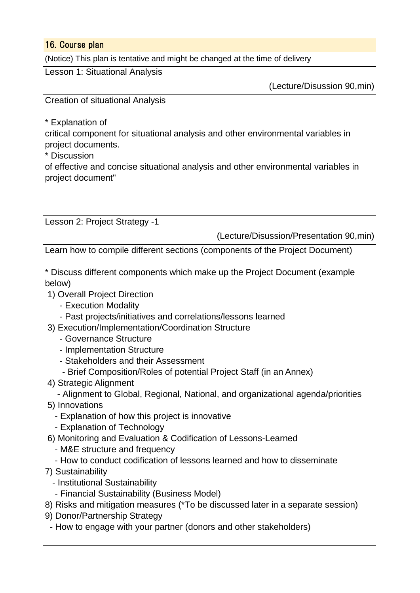#### 16. Course plan

(Notice) This plan is tentative and might be changed at the time of delivery

Lesson 1: Situational Analysis

(Lecture/Disussion 90,min)

Creation of situational Analysis

\* Explanation of

critical component for situational analysis and other environmental variables in project documents.

\* Discussion

of effective and concise situational analysis and other environmental variables in project document"

Lesson 2: Project Strategy -1

(Lecture/Disussion/Presentation 90,min)

Learn how to compile different sections (components of the Project Document)

\* Discuss different components which make up the Project Document (example below)

- 1) Overall Project Direction
	- Execution Modality
	- Past projects/initiatives and correlations/lessons learned
- 3) Execution/Implementation/Coordination Structure
	- Governance Structure
	- Implementation Structure
	- Stakeholders and their Assessment
	- Brief Composition/Roles of potential Project Staff (in an Annex)
- 4) Strategic Alignment
	- Alignment to Global, Regional, National, and organizational agenda/priorities
- 5) Innovations
	- Explanation of how this project is innovative
	- Explanation of Technology
- 6) Monitoring and Evaluation & Codification of Lessons-Learned
	- M&E structure and frequency
	- How to conduct codification of lessons learned and how to disseminate
- 7) Sustainability

\* Discussion

- Institutional Sustainability
- Financial Sustainability (Business Model)
- 8) Risks and mitigation measures (\*To be discussed later in a separate session)
- 9) Donor/Partnership Strategy
- How to engage with your partner (donors and other stakeholders)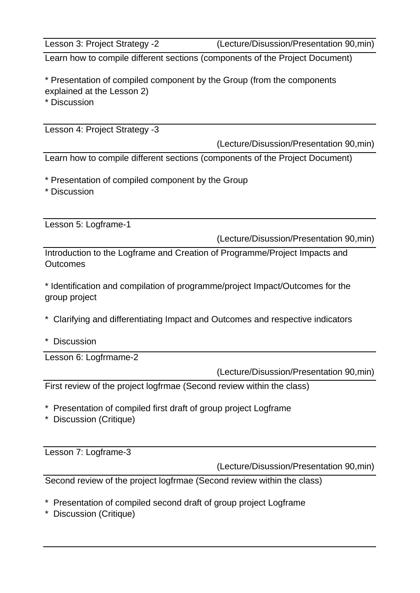Lesson 3: Project Strategy -2 (Lecture/Disussion/Presentation 90,min)

Learn how to compile different sections (components of the Project Document)

\* Presentation of compiled component by the Group (from the components explained at the Lesson 2)

\* Discussion

Lesson 4: Project Strategy -3

(Lecture/Disussion/Presentation 90,min)

Learn how to compile different sections (components of the Project Document)

\* Presentation of compiled component by the Group

\* Discussion

Lesson 5: Logframe-1

(Lecture/Disussion/Presentation 90,min)

Introduction to the Logframe and Creation of Programme/Project Impacts and **Outcomes** 

\* Identification and compilation of programme/project Impact/Outcomes for the group project

\* Clarifying and differentiating Impact and Outcomes and respective indicators

\* Discussion

Lesson 6: Logfrmame-2

(Lecture/Disussion/Presentation 90,min)

First review of the project logfrmae (Second review within the class)

- \* Presentation of compiled first draft of group project Logframe
- \* Discussion (Critique)

Lesson 7: Logframe-3

(Lecture/Disussion/Presentation 90,min)

Second review of the project logfrmae (Second review within the class)

- \* Presentation of compiled second draft of group project Logframe
- \* Discussion (Critique)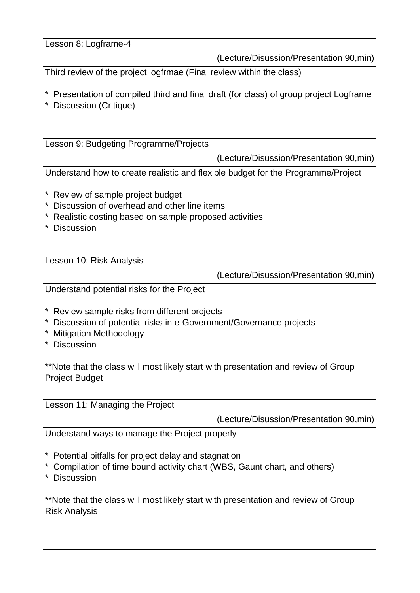### Lesson 8: Logframe-4

(Lecture/Disussion/Presentation 90,min)

Third review of the project logfrmae (Final review within the class)

- \* Presentation of compiled third and final draft (for class) of group project Logframe
- \* Discussion (Critique)

Lesson 9: Budgeting Programme/Projects

(Lecture/Disussion/Presentation 90,min)

Understand how to create realistic and flexible budget for the Programme/Project

- \* Review of sample project budget
- \* Discussion of overhead and other line items
- \* Realistic costing based on sample proposed activities
- \* Discussion

Lesson 10: Risk Analysis

(Lecture/Disussion/Presentation 90,min)

Understand potential risks for the Project

- \* Review sample risks from different projects
- \* Discussion of potential risks in e-Government/Governance projects
- \* Mitigation Methodology
- \* Discussion

\*\*Note that the class will most likely start with presentation and review of Group Project Budget

Lesson 11: Managing the Project

(Lecture/Disussion/Presentation 90,min)

Understand ways to manage the Project properly

- \* Potential pitfalls for project delay and stagnation
- \* Compilation of time bound activity chart (WBS, Gaunt chart, and others)
- \* Discussion

\*\*Note that the class will most likely start with presentation and review of Group Risk Analysis